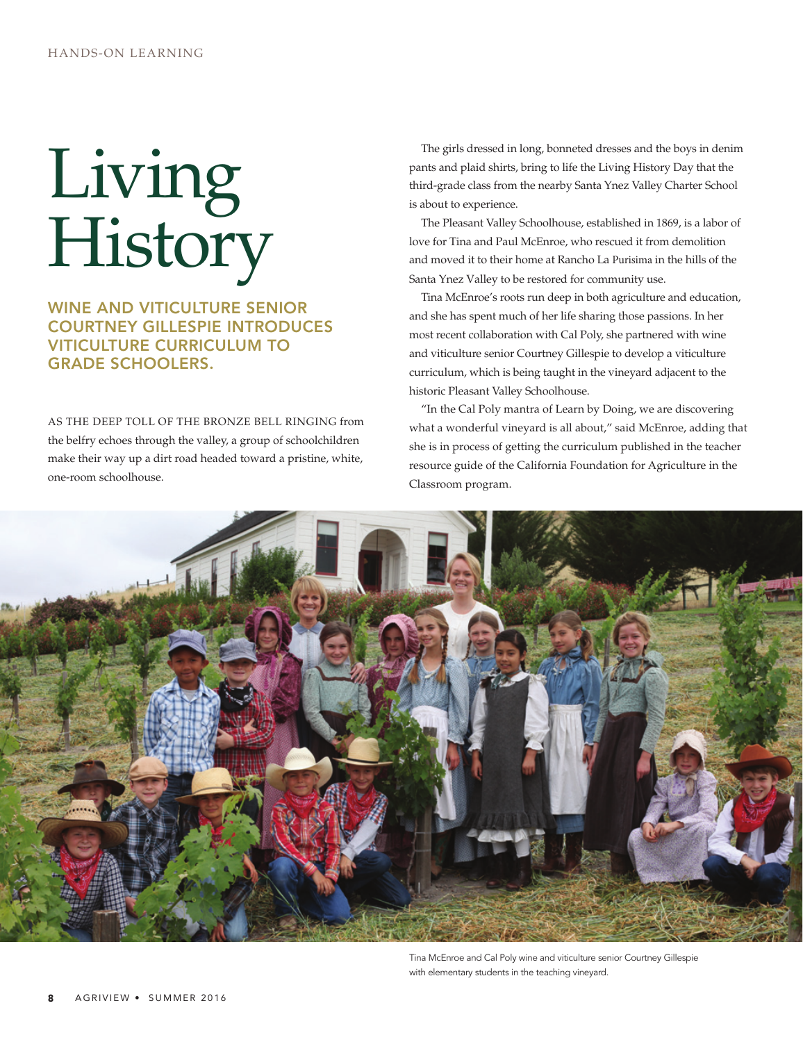## Living History

## WINE AND VITICULTURE SENIOR Courtney Gillespie introduces viticulture curriculum to grade schoolers.

As the deep toll of the bronze bell ringing from the belfry echoes through the valley, a group of schoolchildren make their way up a dirt road headed toward a pristine, white, one-room schoolhouse.

The girls dressed in long, bonneted dresses and the boys in denim pants and plaid shirts, bring to life the Living History Day that the third-grade class from the nearby Santa Ynez Valley Charter School is about to experience.

The Pleasant valley Schoolhouse, established in 1869, is a labor of love for Tina and Paul McEnroe, who rescued it from demolition and moved it to their home at Rancho La Purisima in the hills of the Santa Ynez Valley to be restored for community use.

Tina McEnroe's roots run deep in both agriculture and education, and she has spent much of her life sharing those passions. In her most recent collaboration with Cal Poly, she partnered with wine and viticulture senior Courtney Gillespie to develop a viticulture curriculum, which is being taught in the vineyard adjacent to the historic Pleasant Valley Schoolhouse.

"In the Cal Poly mantra of Learn by Doing, we are discovering what a wonderful vineyard is all about," said McEnroe, adding that she is in process of getting the curriculum published in the teacher resource guide of the California Foundation for Agriculture in the Classroom program.



Tina McEnroe and Cal Poly wine and viticulture senior Courtney Gillespie with elementary students in the teaching vineyard.